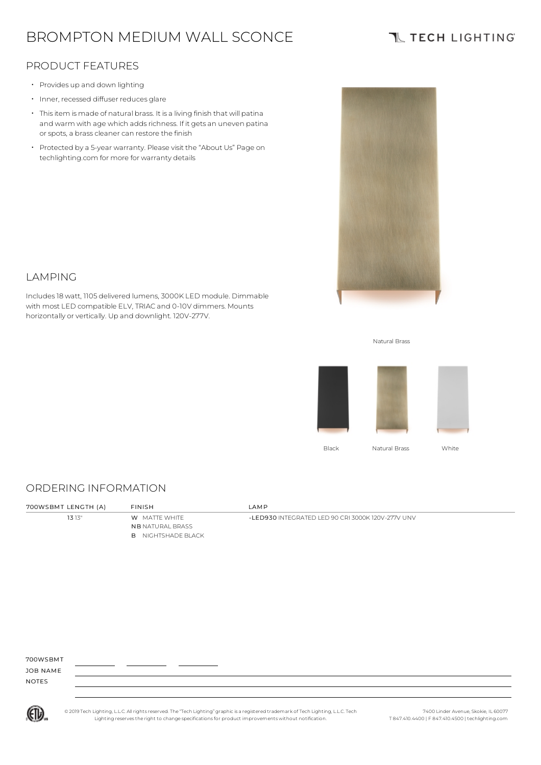# BROMPTON MEDIUM WALL SCONCE

## **TL TECH LIGHTING**

### PRODUCT FEATURES

- Provides up and down lighting
- Inner, recessed diffuser reduces glare
- Thisitem is made of natural brass. It is a living finish that will patina and warm with age which adds richness. If it gets an uneven patina or spots, a brass cleaner can restore the finish
- Protected by a 5-year warranty. Please visit the "About Us" Page on techlighting.com for more for warranty details



### LAMPING

Includes18 watt, 1105 delivered lumens, 3000K LED module. Dimmable with most LED compatible ELV, TRIAC and 0-10V dimmers. Mounts horizontally or vertically. Up and downlight. 120V-277V.





#### ORDERING INFORMATION

| 700WSBMT LENGTH (A) | <b>FINISH</b>                                                                | LAMP                                              |
|---------------------|------------------------------------------------------------------------------|---------------------------------------------------|
| 1313"               | <b>W</b> MATTE WHITE<br><b>NB NATURAL BRASS</b><br><b>B</b> NIGHTSHADE BLACK | -LED930 INTEGRATED LED 90 CRI 3000K 120V-277V UNV |

700WSBMT

JOB NAME NOTES



© 2019 Tech Lighting, L.L.C. All rightsreserved. The "Tech Lighting" graphicis a registered trademark of Tech Lighting, L.L.C. Tech Lighting reservesthe right to change specificationsfor product improvements without notification.

7400 Linder Avenue, Skokie, IL 60077 T 847.410.4400 | F 847.410.4500 | techlighting.com